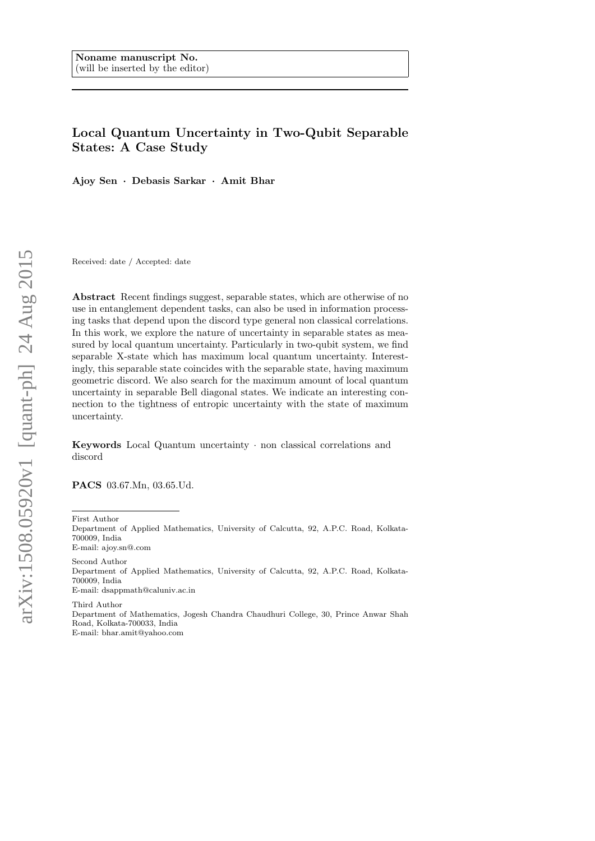# Local Quantum Uncertainty in Two-Qubit Separable States: A Case Study

Ajoy Sen · Debasis Sarkar · Amit Bhar

Received: date / Accepted: date

Abstract Recent findings suggest, separable states, which are otherwise of no use in entanglement dependent tasks, can also be used in information processing tasks that depend upon the discord type general non classical correlations. In this work, we explore the nature of uncertainty in separable states as measured by local quantum uncertainty. Particularly in two-qubit system, we find separable X-state which has maximum local quantum uncertainty. Interestingly, this separable state coincides with the separable state, having maximum geometric discord. We also search for the maximum amount of local quantum uncertainty in separable Bell diagonal states. We indicate an interesting connection to the tightness of entropic uncertainty with the state of maximum uncertainty.

Keywords Local Quantum uncertainty · non classical correlations and discord

PACS 03.67.Mn, 03.65.Ud.

First Author

Department of Applied Mathematics, University of Calcutta, 92, A.P.C. Road, Kolkata-700009, India E-mail: ajoy.sn@.com

Second Author Department of Applied Mathematics, University of Calcutta, 92, A.P.C. Road, Kolkata-700009, India E-mail: dsappmath@caluniv.ac.in Third Author

Department of Mathematics, Jogesh Chandra Chaudhuri College, 30, Prince Anwar Shah Road, Kolkata-700033, India E-mail: bhar.amit@yahoo.com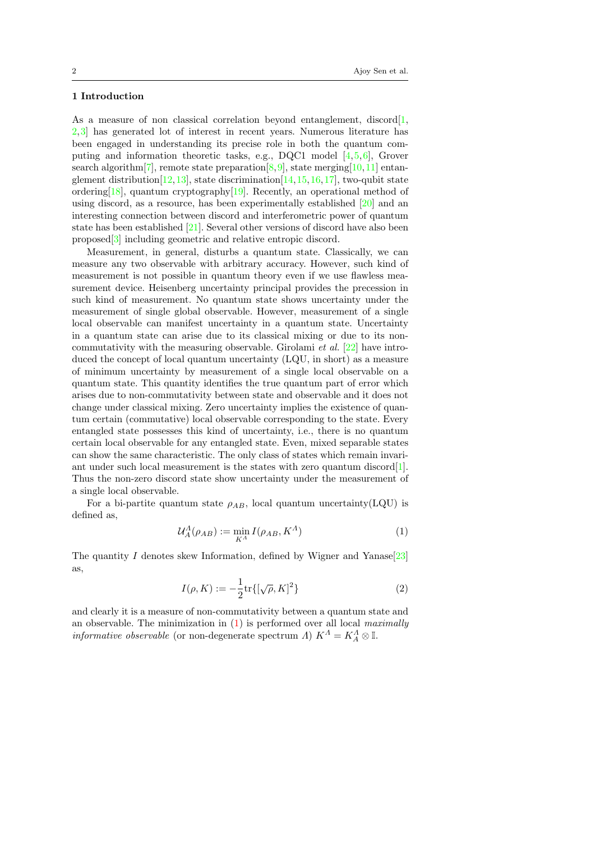### 1 Introduction

As a measure of non classical correlation beyond entanglement, discord<sup>[1</sup>, [2,](#page-9-1)[3\]](#page-9-2) has generated lot of interest in recent years. Numerous literature has been engaged in understanding its precise role in both the quantum computing and information theoretic tasks, e.g., DQC1 model [\[4,](#page-9-3)[5,](#page-9-4)[6\]](#page-9-5), Grover search algorithm<sup>[\[7\]](#page-9-6)</sup>, remote state preparation<sup>[\[8,](#page-9-7) [9\]](#page-9-8)</sup>, state merging<sup>[\[10,](#page-9-9) [11\]](#page-9-10)</sup> entanglement distribution  $[12,13]$  $[12,13]$ , state discrimination  $[14,15,16,17]$  $[14,15,16,17]$  $[14,15,16,17]$  $[14,15,16,17]$ , two-qubit state ordering[\[18\]](#page-9-17), quantum cryptography[\[19\]](#page-9-18). Recently, an operational method of using discord, as a resource, has been experimentally established [\[20\]](#page-9-19) and an interesting connection between discord and interferometric power of quantum state has been established [\[21\]](#page-9-20). Several other versions of discord have also been proposed[\[3\]](#page-9-2) including geometric and relative entropic discord.

Measurement, in general, disturbs a quantum state. Classically, we can measure any two observable with arbitrary accuracy. However, such kind of measurement is not possible in quantum theory even if we use flawless measurement device. Heisenberg uncertainty principal provides the precession in such kind of measurement. No quantum state shows uncertainty under the measurement of single global observable. However, measurement of a single local observable can manifest uncertainty in a quantum state. Uncertainty in a quantum state can arise due to its classical mixing or due to its noncommutativity with the measuring observable. Girolami *et al.* [\[22\]](#page-9-21) have introduced the concept of local quantum uncertainty (LQU, in short) as a measure of minimum uncertainty by measurement of a single local observable on a quantum state. This quantity identifies the true quantum part of error which arises due to non-commutativity between state and observable and it does not change under classical mixing. Zero uncertainty implies the existence of quantum certain (commutative) local observable corresponding to the state. Every entangled state possesses this kind of uncertainty, i.e., there is no quantum certain local observable for any entangled state. Even, mixed separable states can show the same characteristic. The only class of states which remain invari-ant under such local measurement is the states with zero quantum discord[\[1\]](#page-9-0). Thus the non-zero discord state show uncertainty under the measurement of a single local observable.

For a bi-partite quantum state  $\rho_{AB}$ , local quantum uncertainty(LQU) is defined as,

<span id="page-1-0"></span>
$$
\mathcal{U}_A^A(\rho_{AB}) := \min_{K^A} I(\rho_{AB}, K^A) \tag{1}
$$

The quantity I denotes skew Information, defined by Wigner and Yanase<sup>[\[23\]](#page-9-22)</sup> as,

$$
I(\rho, K) := -\frac{1}{2} \text{tr}\{ [\sqrt{\rho}, K]^2 \}
$$
 (2)

and clearly it is a measure of non-commutativity between a quantum state and an observable. The minimization in  $(1)$  is performed over all local *maximally informative observable* (or non-degenerate spectrum  $\Lambda$ )  $K^{\Lambda} = K^{\Lambda}_{A} \otimes \mathbb{I}$ .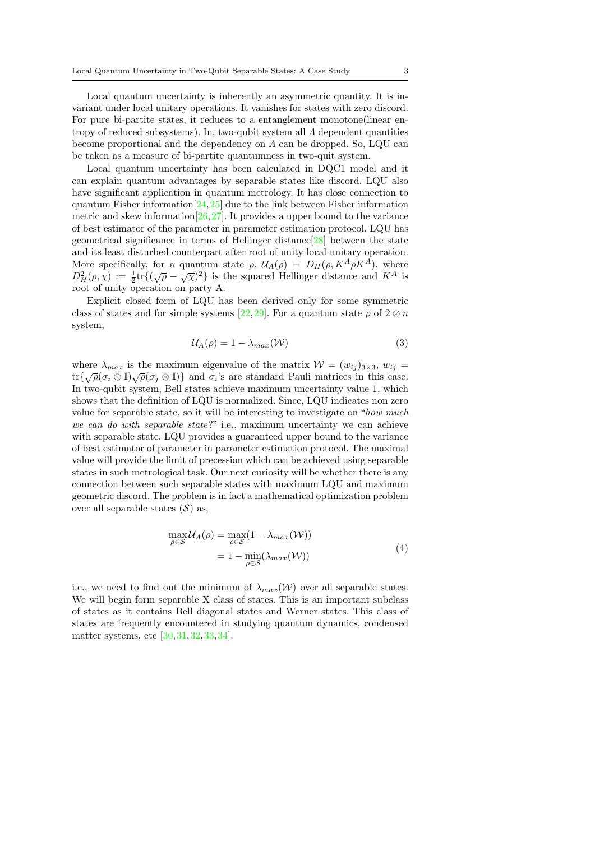Local quantum uncertainty is inherently an asymmetric quantity. It is invariant under local unitary operations. It vanishes for states with zero discord. For pure bi-partite states, it reduces to a entanglement monotone(linear entropy of reduced subsystems). In, two-qubit system all  $\Lambda$  dependent quantities become proportional and the dependency on  $\Lambda$  can be dropped. So, LQU can be taken as a measure of bi-partite quantumness in two-quit system.

Local quantum uncertainty has been calculated in DQC1 model and it can explain quantum advantages by separable states like discord. LQU also have significant application in quantum metrology. It has close connection to quantum Fisher information  $[24,25]$  $[24,25]$  due to the link between Fisher information metric and skew information  $[26, 27]$  $[26, 27]$  $[26, 27]$ . It provides a upper bound to the variance of best estimator of the parameter in parameter estimation protocol. LQU has geometrical significance in terms of Hellinger distance[\[28\]](#page-9-27) between the state and its least disturbed counterpart after root of unity local unitary operation. More specifically, for a quantum state  $\rho$ ,  $\mathcal{U}_A(\rho) = D_H(\rho, K^A \rho K^A)$ , where More specifically, for a quantum state  $\rho$ ,  $\alpha_A(\rho) = \Delta_H(\rho, K \rho K)$ , where  $D_H^2(\rho, \chi) := \frac{1}{2} \text{tr} \{ (\sqrt{\rho} - \sqrt{\chi})^2 \}$  is the squared Hellinger distance and  $K^A$  is root of unity operation on party A.

Explicit closed form of LQU has been derived only for some symmetric class of states and for simple systems [\[22,](#page-9-21) [29\]](#page-9-28). For a quantum state  $\rho$  of  $2 \otimes n$ system,

$$
U_A(\rho) = 1 - \lambda_{max}(\mathcal{W})
$$
\n(3)

where  $\lambda_{max}$  is the maximum eigenvalue of the matrix  $W = (w_{ij})_{3 \times 3}$ ,  $w_{ij}$ where  $\lambda_{max}$  is the maximum eigenvalue of the matrix  $\mathcal{W} = (w_{ij})_{3 \times 3}$ ,  $w_{ij} =$ <br>  $\text{tr}\{\sqrt{\rho}(\sigma_i \otimes \mathbb{I})\sqrt{\rho}(\sigma_j \otimes \mathbb{I})\}$  and  $\sigma_i$ 's are standard Pauli matrices in this case. In two-qubit system, Bell states achieve maximum uncertainty value 1, which shows that the definition of LQU is normalized. Since, LQU indicates non zero value for separable state, so it will be interesting to investigate on "how much we can do with separable state?" i.e., maximum uncertainty we can achieve with separable state. LQU provides a guaranteed upper bound to the variance of best estimator of parameter in parameter estimation protocol. The maximal value will provide the limit of precession which can be achieved using separable states in such metrological task. Our next curiosity will be whether there is any connection between such separable states with maximum LQU and maximum geometric discord. The problem is in fact a mathematical optimization problem over all separable states  $(S)$  as,

$$
\max_{\rho \in S} \mathcal{U}_A(\rho) = \max_{\rho \in S} (1 - \lambda_{max}(\mathcal{W}))
$$
  
= 1 - \min\_{\rho \in S} (\lambda\_{max}(\mathcal{W})) (4)

i.e., we need to find out the minimum of  $\lambda_{max}(\mathcal{W})$  over all separable states. We will begin form separable X class of states. This is an important subclass of states as it contains Bell diagonal states and Werner states. This class of states are frequently encountered in studying quantum dynamics, condensed matter systems, etc [\[30,](#page-10-0)[31,](#page-10-1)[32,](#page-10-2)[33,](#page-10-3)[34\]](#page-10-4).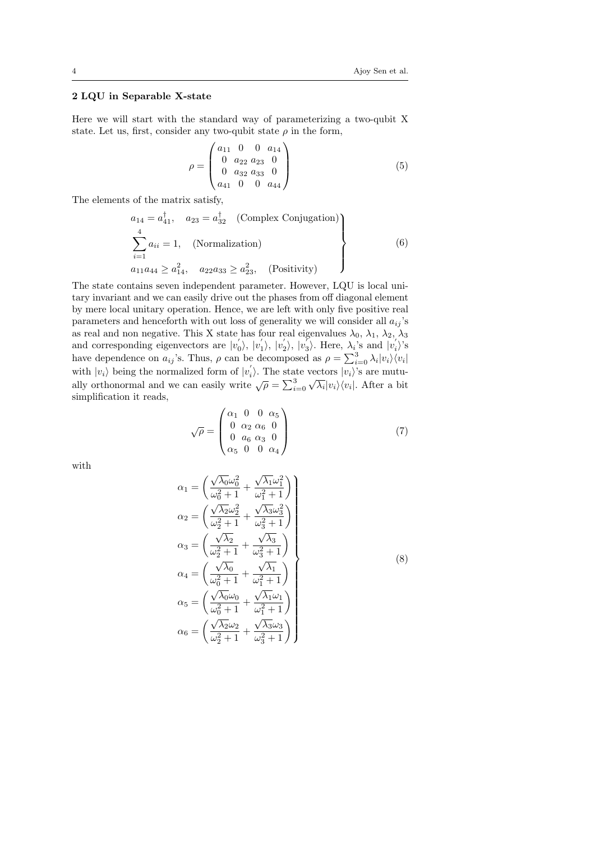## 2 LQU in Separable X-state

Here we will start with the standard way of parameterizing a two-qubit X state. Let us, first, consider any two-qubit state  $\rho$  in the form,

 $\overline{ }$ 

$$
\rho = \begin{pmatrix} a_{11} & 0 & 0 & a_{14} \\ 0 & a_{22} & a_{23} & 0 \\ 0 & a_{32} & a_{33} & 0 \\ a_{41} & 0 & 0 & a_{44} \end{pmatrix}
$$
 (5)

The elements of the matrix satisfy,

$$
a_{14} = a_{41}^{\dagger}, \quad a_{23} = a_{32}^{\dagger} \quad \text{(Complex Conjugation)}
$$
\n
$$
\sum_{i=1}^{4} a_{ii} = 1, \quad \text{(Normalization)}
$$
\n
$$
a_{11}a_{44} \ge a_{14}^2, \quad a_{22}a_{33} \ge a_{23}^2, \quad \text{(Positivity)}
$$
\n
$$
(6)
$$

The state contains seven independent parameter. However, LQU is local unitary invariant and we can easily drive out the phases from off diagonal element by mere local unitary operation. Hence, we are left with only five positive real parameters and henceforth with out loss of generality we will consider all  $a_{ij}$ 's as real and non negative. This X state has four real eigenvalues  $\lambda_0$ ,  $\lambda_1$ ,  $\lambda_2$ ,  $\lambda_3$ and corresponding eigenvectors are  $|v'_0\rangle, |v'_1\rangle, |v'_2\rangle, |v'_3\rangle$ . Here,  $\lambda_i$ 's and  $|v'_i\rangle$ 's have dependence on  $a_{ij}$ 's. Thus,  $\rho$  can be decomposed as  $\rho = \sum_{i=0}^{3} \lambda_i |v_i\rangle\langle v_i|$ with  $|v_i\rangle$  being the normalized form of  $|v'_i\rangle$ . The state vectors  $|v_i\rangle$ 's are mutually orthonormal and we can easily write  $\sqrt{\rho} = \sum_{i=0}^3 \sqrt{\lambda_i} |v_i\rangle\langle v_i|$ . After a bit vectors  $|v_i\rangle$  s are mutu-<br> $\sqrt{\lambda_i}|v_i\rangle\langle v_i|$ . After a bit simplification it reads,

$$
\sqrt{\rho} = \begin{pmatrix} \alpha_1 & 0 & 0 & \alpha_5 \\ 0 & \alpha_2 & \alpha_6 & 0 \\ 0 & a_6 & \alpha_3 & 0 \\ \alpha_5 & 0 & 0 & \alpha_4 \end{pmatrix}
$$
(7)

with

$$
\alpha_1 = \left(\frac{\sqrt{\lambda_0}\omega_0^2}{\omega_0^2 + 1} + \frac{\sqrt{\lambda_1}\omega_1^2}{\omega_1^2 + 1}\right)
$$
\n
$$
\alpha_2 = \left(\frac{\sqrt{\lambda_2}\omega_2^2}{\omega_2^2 + 1} + \frac{\sqrt{\lambda_3}\omega_3^2}{\omega_3^2 + 1}\right)
$$
\n
$$
\alpha_3 = \left(\frac{\sqrt{\lambda_2}}{\omega_2^2 + 1} + \frac{\sqrt{\lambda_3}}{\omega_3^2 + 1}\right)
$$
\n
$$
\alpha_4 = \left(\frac{\sqrt{\lambda_0}}{\omega_0^2 + 1} + \frac{\sqrt{\lambda_1}}{\omega_1^2 + 1}\right)
$$
\n
$$
\alpha_5 = \left(\frac{\sqrt{\lambda_0}\omega_0}{\omega_0^2 + 1} + \frac{\sqrt{\lambda_1}\omega_1}{\omega_1^2 + 1}\right)
$$
\n
$$
\alpha_6 = \left(\frac{\sqrt{\lambda_2}\omega_2}{\omega_2^2 + 1} + \frac{\sqrt{\lambda_3}\omega_3}{\omega_3^2 + 1}\right)
$$
\n(8)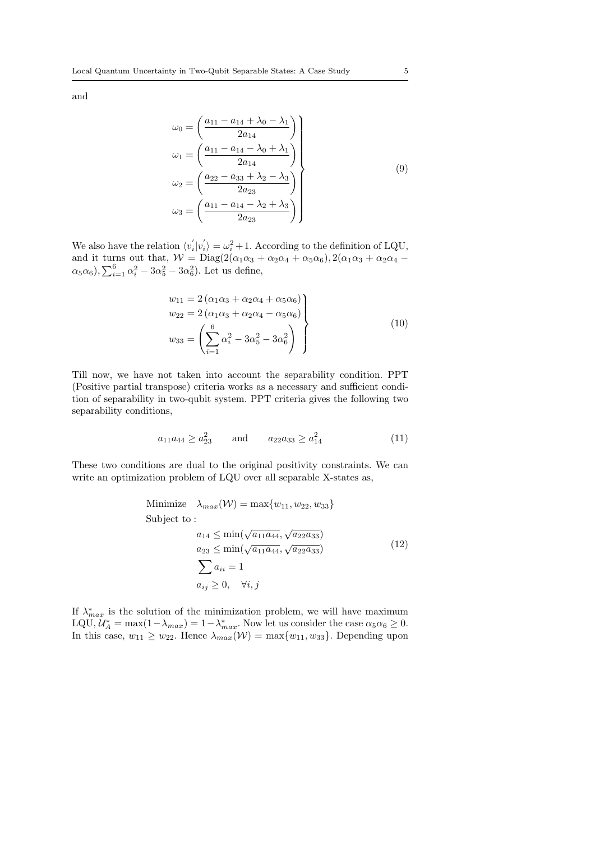and

$$
\omega_0 = \left(\frac{a_{11} - a_{14} + \lambda_0 - \lambda_1}{2a_{14}}\right)
$$
  
\n
$$
\omega_1 = \left(\frac{a_{11} - a_{14} - \lambda_0 + \lambda_1}{2a_{14}}\right)
$$
  
\n
$$
\omega_2 = \left(\frac{a_{22} - a_{33} + \lambda_2 - \lambda_3}{2a_{23}}\right)
$$
  
\n
$$
\omega_3 = \left(\frac{a_{11} - a_{14} - \lambda_2 + \lambda_3}{2a_{23}}\right)
$$
\n(9)

We also have the relation  $\langle v_i' | v_i' \rangle = \omega_i^2 + 1$ . According to the definition of LQU, and it turns out that,  $W = \text{Diag}(2(\alpha_1\alpha_3 + \alpha_2\alpha_4 + \alpha_5\alpha_6), 2(\alpha_1\alpha_3 + \alpha_2\alpha_4 \alpha_5 \alpha_6$ ),  $\sum_{i=1}^6 \alpha_i^2 - 3\alpha_5^2 - 3\alpha_6^2$ ). Let us define,

$$
w_{11} = 2(\alpha_1 \alpha_3 + \alpha_2 \alpha_4 + \alpha_5 \alpha_6) w_{22} = 2(\alpha_1 \alpha_3 + \alpha_2 \alpha_4 - \alpha_5 \alpha_6) w_{33} = \left(\sum_{i=1}^{6} \alpha_i^2 - 3\alpha_5^2 - 3\alpha_6^2\right)
$$
 (10)

Till now, we have not taken into account the separability condition. PPT (Positive partial transpose) criteria works as a necessary and sufficient condition of separability in two-qubit system. PPT criteria gives the following two separability conditions,

$$
a_{11}a_{44} \ge a_{23}^2 \qquad \text{and} \qquad a_{22}a_{33} \ge a_{14}^2 \tag{11}
$$

These two conditions are dual to the original positivity constraints. We can write an optimization problem of LQU over all separable X-states as,

Minimize 
$$
\lambda_{max}(W) = \max\{w_{11}, w_{22}, w_{33}\}
$$
  
\nSubject to :  
\n $a_{14} \le \min(\sqrt{a_{11}a_{44}}, \sqrt{a_{22}a_{33}})$   
\n $a_{23} \le \min(\sqrt{a_{11}a_{44}}, \sqrt{a_{22}a_{33}})$   
\n $\sum a_{ii} = 1$   
\n $a_{ij} \ge 0, \quad \forall i, j$  (12)

<span id="page-4-0"></span>If  $\lambda_{max}^*$  is the solution of the minimization problem, we will have maximum LQU,  $\mathcal{U}_A^* = \max(1 - \lambda_{max}) = 1 - \lambda_{max}^*$ . Now let us consider the case  $\alpha_5 \alpha_6 \geq 0$ . In this case,  $w_{11} \geq w_{22}$ . Hence  $\lambda_{max}(\mathcal{W}) = \max\{w_{11}, w_{33}\}$ . Depending upon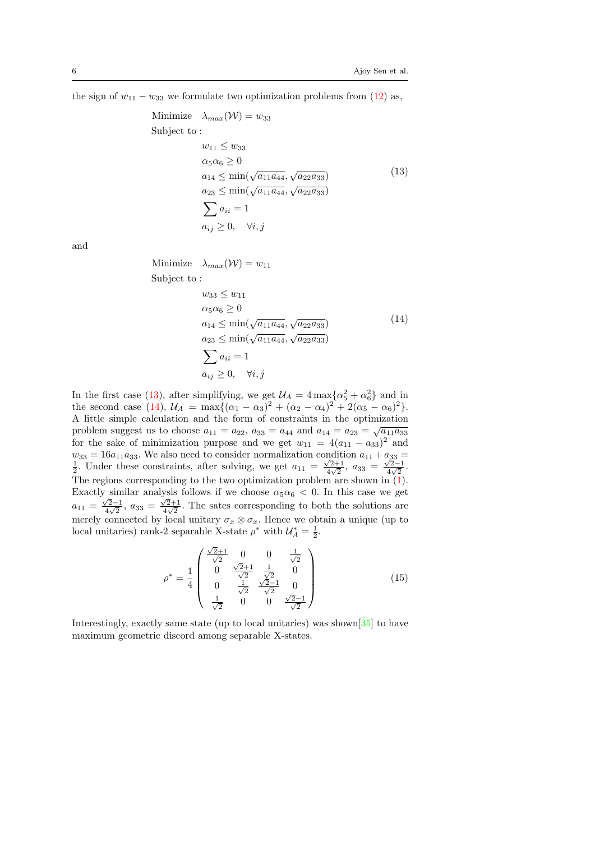<span id="page-5-0"></span>the sign of  $w_{11} - w_{33}$  we formulate two optimization problems from [\(12\)](#page-4-0) as,

Minimize 
$$
\lambda_{max}(W) = w_{33}
$$
  
\nSubject to :  
\n
$$
w_{11} \le w_{33}
$$
\n
$$
\alpha_5 \alpha_6 \ge 0
$$
\n
$$
a_{14} \le \min(\sqrt{a_{11} a_{44}}, \sqrt{a_{22} a_{33}})
$$
\n
$$
a_{23} \le \min(\sqrt{a_{11} a_{44}}, \sqrt{a_{22} a_{33}})
$$
\n
$$
\sum_{i} a_{ii} = 1
$$
\n
$$
a_{ij} \ge 0, \quad \forall i, j
$$
\n(13)

<span id="page-5-1"></span>and

Minimize  $\lambda_{max}(\mathcal{W}) = w_{11}$ Subject to :

$$
w_{33} \le w_{11}
$$
  
\n
$$
\alpha_5 \alpha_6 \ge 0
$$
  
\n
$$
a_{14} \le \min(\sqrt{a_{11} a_{44}}, \sqrt{a_{22} a_{33}})
$$
  
\n
$$
a_{23} \le \min(\sqrt{a_{11} a_{44}}, \sqrt{a_{22} a_{33}})
$$
  
\n
$$
\sum a_{ii} = 1
$$
  
\n
$$
a_{ij} \ge 0, \quad \forall i, j
$$
\n(14)

In the first case [\(13\)](#page-5-0), after simplifying, we get  $U_A = 4 \max{\{\alpha_5^2 + \alpha_6^2\}}$  and in the second case [\(14\)](#page-5-1),  $U_A = \max\{(\alpha_1 - \alpha_3)^2 + (\alpha_2 - \alpha_4)^2 + 2(\alpha_5 - \alpha_6)^2\}.$ A little simple calculation and the form of constraints in the optimization √ problem suggest us to choose  $a_{11} = a_{22}$ ,  $a_{33} = a_{44}$  and  $a_{14} = a_{23} = \sqrt{a_{11} a_{33}}$ for the sake of minimization purpose and we get  $w_{11} = 4(a_{11} - a_{33})^2$  and  $w_{33} = 16a_{11}a_{33}$ . We also need to consider normalization condition  $a_{11} + a_{33} = \frac{1}{2}$ . Under these constraints, after solving, we get  $a_{11} = \frac{\sqrt{2}+1}{4\sqrt{2}}$ ,  $a_{33} = \frac{\sqrt{2}-1}{4\sqrt{2}}$ .  $\frac{\sqrt{2}+1}{4\sqrt{2}}, a_{33} = \frac{\sqrt{2}-1}{4\sqrt{2}}$  $\frac{\sqrt{2}-1}{4\sqrt{2}}$ . The regions corresponding to the two optimization problem are shown in  $(1)$ . Exactly similar analysis follows if we choose  $\alpha_5 \alpha_6 < 0$ . In this case we get  $a_{11} = \frac{\sqrt{2}-1}{4\sqrt{2}}$  $\frac{\sqrt{2}-1}{4\sqrt{2}}, a_{33} = \frac{\sqrt{2}+1}{4\sqrt{2}}$  $\frac{\sqrt{2}+1}{4\sqrt{2}}$ . The sates corresponding to both the solutions are merely connected by local unitary  $\sigma_x \otimes \sigma_x$ . Hence we obtain a unique (up to local unitaries) rank-2 separable X-state  $\rho^*$  with  $\mathcal{U}_A^* = \frac{1}{2}$ .

$$
\rho^* = \frac{1}{4} \begin{pmatrix} \frac{\sqrt{2}+1}{\sqrt{2}} & 0 & 0 & \frac{1}{\sqrt{2}} \\ 0 & \frac{\sqrt{2}+1}{\sqrt{2}} & \frac{1}{\sqrt{2}} & 0 \\ 0 & \frac{1}{\sqrt{2}} & \frac{\sqrt{2}-1}{\sqrt{2}} & 0 \\ \frac{1}{\sqrt{2}} & 0 & 0 & \frac{\sqrt{2}-1}{\sqrt{2}} \end{pmatrix}
$$
(15)

Interestingly, exactly same state (up to local unitaries) was shown[\[35\]](#page-10-5) to have maximum geometric discord among separable X-states.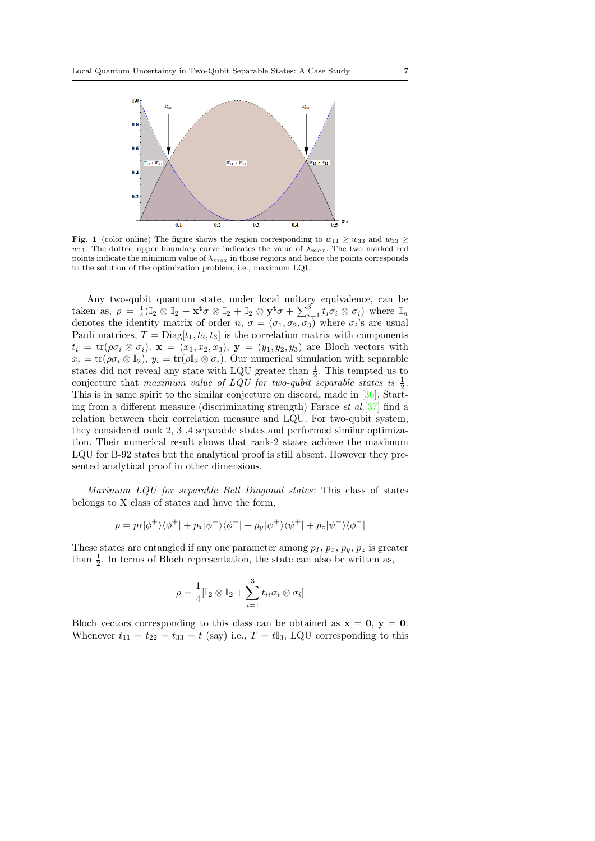

<span id="page-6-0"></span>Fig. 1 (color online) The figure shows the region corresponding to  $w_{11} \geq w_{33}$  and  $w_{33} \geq$  $w_{11}$ . The dotted upper boundary curve indicates the value of  $\lambda_{max}$ . The two marked red points indicate the minimum value of  $\lambda_{max}$  in those regions and hence the points corresponds to the solution of the optimization problem, i.e., maximum LQU

Any two-qubit quantum state, under local unitary equivalence, can be taken as,  $\rho = \frac{1}{4} (\mathbb{I}_2 \otimes \mathbb{I}_2 + \mathbf{x}^t \sigma \otimes \mathbb{I}_2 + \mathbb{I}_2 \otimes \mathbf{y}^t \sigma + \sum_{i=1}^3 t_i \sigma_i \otimes \sigma_i)$  where  $\mathbb{I}_n$ denotes the identity matrix of order  $n, \sigma = (\sigma_1, \sigma_2, \sigma_3)$  where  $\sigma_i$ 's are usual Pauli matrices,  $T = \text{Diag}[t_1, t_2, t_3]$  is the correlation matrix with components  $t_i = \text{tr}(\rho \sigma_i \otimes \sigma_i)$ .  $\mathbf{x} = (x_1, x_2, x_3), \mathbf{y} = (y_1, y_2, y_3)$  are Bloch vectors with  $x_i = \text{tr}(\rho \sigma_i \otimes \mathbb{I}_2), y_i = \text{tr}(\rho \mathbb{I}_2 \otimes \sigma_i)$ . Our numerical simulation with separable states did not reveal any state with LQU greater than  $\frac{1}{2}$ . This tempted us to conjecture that maximum value of LQU for two-qubit separable states is  $\frac{1}{2}$ . This is in same spirit to the similar conjecture on discord, made in [\[36\]](#page-10-6). Starting from a different measure (discriminating strength) Farace et al.[\[37\]](#page-10-7) find a relation between their correlation measure and LQU. For two-qubit system, they considered rank 2, 3 ,4 separable states and performed similar optimization. Their numerical result shows that rank-2 states achieve the maximum LQU for B-92 states but the analytical proof is still absent. However they presented analytical proof in other dimensions.

Maximum LQU for separable Bell Diagonal states: This class of states belongs to X class of states and have the form,

$$
\rho=p_I|\phi^+\rangle\langle\phi^+|+p_x|\phi^-\rangle\langle\phi^-|+p_y|\psi^+\rangle\langle\psi^+|+p_z|\psi^-\rangle\langle\phi^-|
$$

These states are entangled if any one parameter among  $p_I$ ,  $p_x$ ,  $p_y$ ,  $p_z$  is greater than  $\frac{1}{2}$ . In terms of Bloch representation, the state can also be written as,

$$
\rho = \frac{1}{4} [\mathbb{I}_2 \otimes \mathbb{I}_2 + \sum_{i=1}^3 t_{ii} \sigma_i \otimes \sigma_i]
$$

Bloch vectors corresponding to this class can be obtained as  $x = 0$ ,  $y = 0$ . Whenever  $t_{11} = t_{22} = t_{33} = t$  (say) i.e.,  $T = t\mathbb{I}_3$ , LQU corresponding to this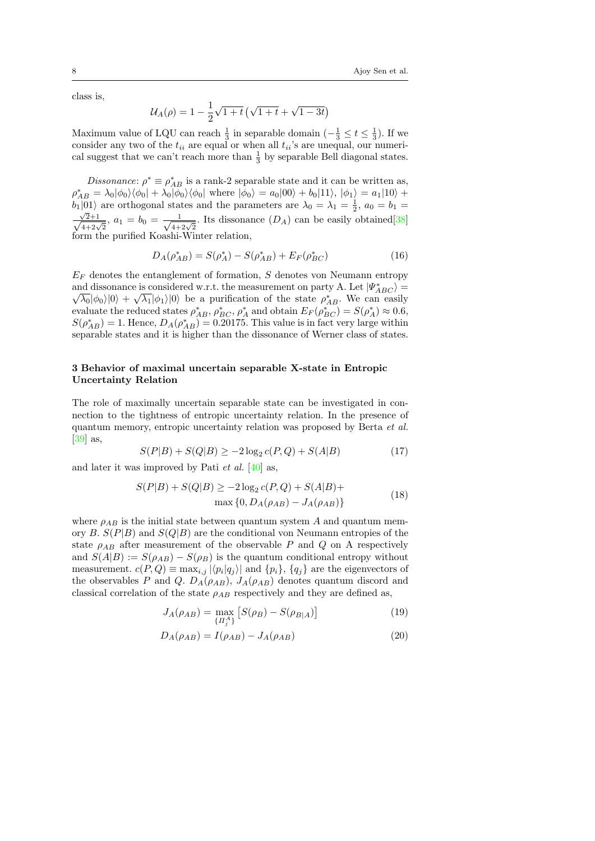class is,

$$
U_A(\rho) = 1 - \frac{1}{2}\sqrt{1+t} \left(\sqrt{1+t} + \sqrt{1-3t}\right)
$$

Maximum value of LQU can reach  $\frac{1}{3}$  in separable domain  $\left(-\frac{1}{3} \leq t \leq \frac{1}{3}\right)$ . If we consider any two of the  $t_{ii}$  are equal or when all  $t_{ii}$ 's are unequal, our numerical suggest that we can't reach more than  $\frac{1}{3}$  by separable Bell diagonal states.

*Dissonance*:  $\rho^* \equiv \rho_{AB}^*$  is a rank-2 separable state and it can be written as,  $\rho_{AB}^* = \lambda_0 |\phi_0\rangle\langle\phi_0| + \lambda_0 |\phi_0\rangle\langle\phi_0|$  where  $|\phi_0\rangle = a_0|00\rangle + b_0|11\rangle, |\phi_1\rangle = a_1|10\rangle + b_0|11\rangle$  $b_1|01\rangle$  are orthogonal states and the parameters are  $\lambda_0 = \lambda_1 = \frac{1}{2}$ ,  $a_0 = b_1 =$  $\frac{\sqrt{2+1}}{\sqrt{4+2\sqrt{2}}}$ ,  $a_1 = b_0 = \frac{1}{\sqrt{4+2\sqrt{2}}}$ . Its dissonance  $(D_A)$  can be easily obtained [\[38\]](#page-10-8) form the purified Koashi-Winter relation,

$$
D_A(\rho_{AB}^*) = S(\rho_A^*) - S(\rho_{AB}^*) + E_F(\rho_{BC}^*)
$$
\n(16)

 $E_F$  denotes the entanglement of formation, S denotes von Neumann entropy and dissonance is considered w.r.t. the measurement on party A. Let  $|\Psi^*_{ABC}\rangle =$  $\overline{\lambda_0}|\phi_0\rangle|0\rangle + \sqrt{\lambda_1}|\phi_1\rangle|0\rangle$  be a purification of the state  $\rho_{AB}^*$ . We can easily evaluate the reduced states  $\rho_{AB}^*$ ,  $\rho_{BC}^*$ ,  $\rho_A^*$  and obtain  $E_F(\rho_{BC}^*) = S(\rho_A^*) \approx 0.6$ ,  $S(\rho_{AB}^*) = 1$ . Hence,  $D_A(\rho_{AB}^*) = 0.20175$ . This value is in fact very large within separable states and it is higher than the dissonance of Werner class of states.

### 3 Behavior of maximal uncertain separable X-state in Entropic Uncertainty Relation

The role of maximally uncertain separable state can be investigated in connection to the tightness of entropic uncertainty relation. In the presence of quantum memory, entropic uncertainty relation was proposed by Berta et al. [\[39\]](#page-10-9) as,

$$
S(P|B) + S(Q|B) \ge -2\log_2 c(P,Q) + S(A|B)
$$
\n(17)

and later it was improved by Pati *et al.* [\[40\]](#page-10-10) as,

$$
S(P|B) + S(Q|B) \ge -2\log_2 c(P,Q) + S(A|B) +
$$
  
\n
$$
\max \{0, D_A(\rho_{AB}) - J_A(\rho_{AB})\}
$$
\n(18)

where  $\rho_{AB}$  is the initial state between quantum system A and quantum memory B.  $S(P|B)$  and  $S(Q|B)$  are the conditional von Neumann entropies of the state  $\rho_{AB}$  after measurement of the observable P and Q on A respectively and  $S(A|B) := S(\rho_{AB}) - S(\rho_B)$  is the quantum conditional entropy without measurement.  $c(P,Q) \equiv \max_{i,j} |\langle p_i | q_j \rangle|$  and  $\{p_i\}, \{q_j\}$  are the eigenvectors of the observables P and Q.  $D_A(\rho_{AB})$ ,  $J_A(\rho_{AB})$  denotes quantum discord and classical correlation of the state  $\rho_{AB}$  respectively and they are defined as,

$$
J_A(\rho_{AB}) = \max_{\{H_j^A\}} \left[ S(\rho_B) - S(\rho_{B|A}) \right] \tag{19}
$$

$$
D_A(\rho_{AB}) = I(\rho_{AB}) - J_A(\rho_{AB})
$$
\n(20)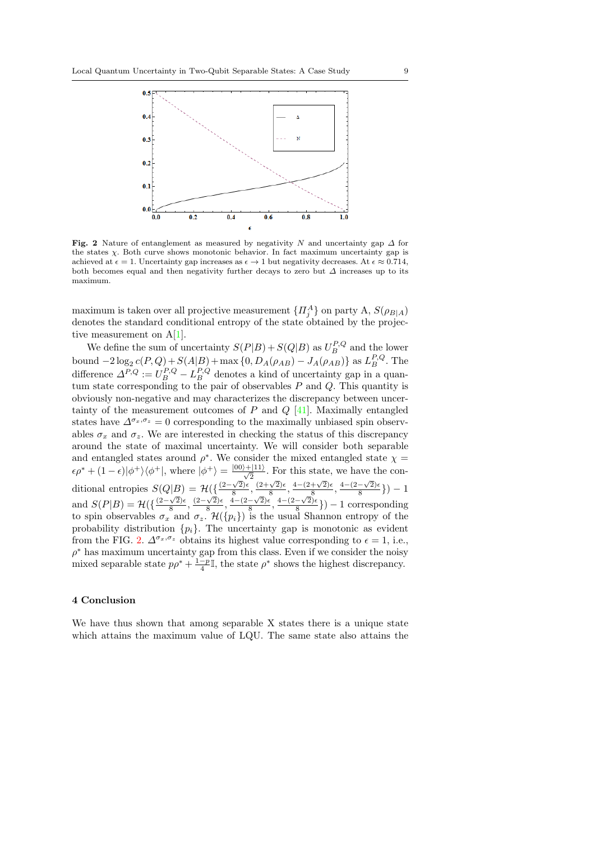

<span id="page-8-0"></span>Fig. 2 Nature of entanglement as measured by negativity N and uncertainty gap  $\Delta$  for the states χ. Both curve shows monotonic behavior. In fact maximum uncertainty gap is achieved at  $\epsilon = 1$ . Uncertainty gap increases as  $\epsilon \to 1$  but negativity decreases. At  $\epsilon \approx 0.714$ , both becomes equal and then negativity further decays to zero but  $\Delta$  increases up to its maximum.

maximum is taken over all projective measurement  $\{H_j^A\}$  on party  $A, S(\rho_{B|A})$ denotes the standard conditional entropy of the state obtained by the projective measurement on A[\[1\]](#page-9-0).

We define the sum of uncertainty  $S(P|B) + S(Q|B)$  as  $U_B^{P,Q}$  and the lower bound  $-2\log_2 c(P,Q) + S(A|B) + \max\{0, D_A(\rho_{AB}) - J_A(\rho_{AB})\}$  as  $L_B^{P,Q}$ . The difference  $\Delta^{P,Q} := U_B^{P,Q} - L_B^{P,Q}$  denotes a kind of uncertainty gap in a quantum state corresponding to the pair of observables  $P$  and  $Q$ . This quantity is obviously non-negative and may characterizes the discrepancy between uncertainty of the measurement outcomes of  $P$  and  $Q$  [\[41\]](#page-10-11). Maximally entangled states have  $\Delta^{\sigma_x,\sigma_z}=0$  corresponding to the maximally unbiased spin observables  $\sigma_r$  and  $\sigma_{\gamma}$ . We are interested in checking the status of this discrepancy around the state of maximal uncertainty. We will consider both separable and entangled states around  $\rho^*$ . We consider the mixed entangled state  $\chi$  =  $\epsilon \rho^* + (1 - \epsilon) |\phi^+\rangle\langle\phi^+|$ , where  $|\phi^+\rangle = \frac{|00\rangle + |11\rangle}{\sqrt{2}}$ . For this state, we have the conditional entropies  $S(Q|B) = \mathcal{H}(\{\frac{(2-\sqrt{2})\epsilon}{8}\})$  $\frac{\sqrt{2}}{8}, \frac{(2+\sqrt{2})\epsilon}{8}$  $\frac{\sqrt{2}\epsilon}{8}, \frac{4-(2+\sqrt{2})\epsilon}{8}$  $\frac{+\sqrt{2}\cdot\epsilon}{8}, \frac{4-(2-\sqrt{2})\epsilon}{8}$  $\frac{-\sqrt{2}}{8}\})-1$ and  $S(P|B) = \mathcal{H}(\{\frac{(2-\sqrt{2})\epsilon}{8}\})$  $\frac{\sqrt{2}}{8}, \frac{(2-\sqrt{2})\epsilon}{8}$  $\frac{\sqrt{2}}{8}, \frac{4-(2-\sqrt{2})\epsilon}{8}$  $\frac{8}{8}, \frac{8}{4-(2-\sqrt{2})\epsilon}$  $\frac{-\sqrt{2}}{8}\}$ ) – 1 corresponding to spin observables  $\sigma_x$  and  $\sigma_z$ .  $\mathcal{H}(\{p_i\})$  is the usual Shannon entropy of the probability distribution  $\{p_i\}$ . The uncertainty gap is monotonic as evident from the FIG. [2.](#page-8-0)  $\Delta^{\sigma_x, \sigma_z}$  obtains its highest value corresponding to  $\epsilon = 1$ , i.e.,  $\rho^*$  has maximum uncertainty gap from this class. Even if we consider the noisy mixed separable state  $p p^* + \frac{1-p}{4} \mathbb{I}$ , the state  $p^*$  shows the highest discrepancy.

#### 4 Conclusion

We have thus shown that among separable X states there is a unique state which attains the maximum value of LQU. The same state also attains the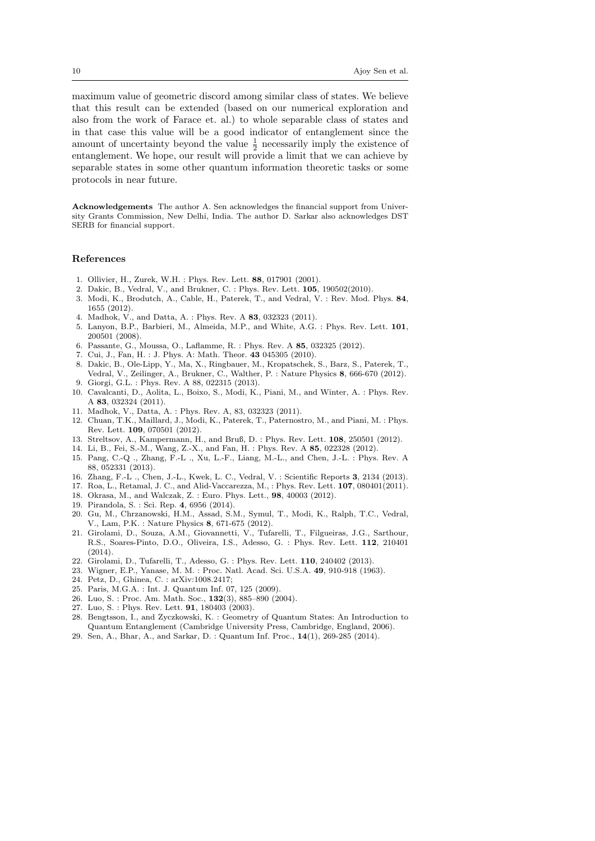maximum value of geometric discord among similar class of states. We believe that this result can be extended (based on our numerical exploration and also from the work of Farace et. al.) to whole separable class of states and in that case this value will be a good indicator of entanglement since the amount of uncertainty beyond the value  $\frac{1}{2}$  necessarily imply the existence of entanglement. We hope, our result will provide a limit that we can achieve by separable states in some other quantum information theoretic tasks or some protocols in near future.

Acknowledgements The author A. Sen acknowledges the financial support from University Grants Commission, New Delhi, India. The author D. Sarkar also acknowledges DST SERB for financial support.

#### References

- <span id="page-9-0"></span>1. Ollivier, H., Zurek, W.H. : Phys. Rev. Lett. 88, 017901 (2001).
- <span id="page-9-1"></span>2. Dakic, B., Vedral, V., and Brukner, C. : Phys. Rev. Lett. 105, 190502(2010).
- <span id="page-9-2"></span>3. Modi, K., Brodutch, A., Cable, H., Paterek, T., and Vedral, V. : Rev. Mod. Phys. 84, 1655 (2012).
- <span id="page-9-3"></span>4. Madhok, V., and Datta, A. : Phys. Rev. A 83, 032323 (2011).
- <span id="page-9-4"></span>5. Lanyon, B.P., Barbieri, M., Almeida, M.P., and White, A.G. : Phys. Rev. Lett. 101, 200501 (2008).
- <span id="page-9-5"></span>6. Passante, G., Moussa, O., Laflamme, R. : Phys. Rev. A 85, 032325 (2012).
- <span id="page-9-6"></span>7. Cui, J., Fan, H. : J. Phys. A: Math. Theor. 43 045305 (2010).
- <span id="page-9-7"></span>8. Dakic, B., Ole-Lipp, Y., Ma, X., Ringbauer, M., Kropatschek, S., Barz, S., Paterek, T., Vedral, V., Zeilinger, A., Brukner, C., Walther, P. : Nature Physics 8, 666-670 (2012). 9. Giorgi, G.L. : Phys. Rev. A 88, 022315 (2013).
- <span id="page-9-9"></span><span id="page-9-8"></span>10. Cavalcanti, D., Aolita, L., Boixo, S., Modi, K., Piani, M., and Winter, A. : Phys. Rev. A 83, 032324 (2011).
- <span id="page-9-10"></span>11. Madhok, V., Datta, A. : Phys. Rev. A, 83, 032323 (2011).
- <span id="page-9-11"></span>12. Chuan, T.K., Maillard, J., Modi, K., Paterek, T., Paternostro, M., and Piani, M. : Phys. Rev. Lett. 109, 070501 (2012).
- <span id="page-9-12"></span>13. Streltsov, A., Kampermann, H., and Bruß, D. : Phys. Rev. Lett. 108, 250501 (2012).
- <span id="page-9-13"></span>14. Li, B., Fei, S.-M., Wang, Z.-X., and Fan, H. : Phys. Rev. A 85, 022328 (2012).
- <span id="page-9-14"></span>15. Pang, C.-Q ., Zhang, F.-L ., Xu, L.-F., Liang, M.-L., and Chen, J.-L. : Phys. Rev. A 88, 052331 (2013).
- <span id="page-9-15"></span>16. Zhang, F.-L ., Chen, J.-L., Kwek, L. C., Vedral, V. : Scientific Reports 3, 2134 (2013).
- <span id="page-9-16"></span>17. Roa, L., Retamal, J. C., and Alid-Vaccarezza, M., : Phys. Rev. Lett. 107, 080401(2011).
- <span id="page-9-17"></span>18. Okrasa, M., and Walczak, Z. : Euro. Phys. Lett., 98, 40003 (2012).
- <span id="page-9-18"></span>19. Pirandola, S. : Sci. Rep. 4, 6956 (2014).
- <span id="page-9-19"></span>20. Gu, M., Chrzanowski, H.M., Assad, S.M., Symul, T., Modi, K., Ralph, T.C., Vedral, V., Lam, P.K. : Nature Physics 8, 671-675 (2012).
- <span id="page-9-20"></span>21. Girolami, D., Souza, A.M., Giovannetti, V., Tufarelli, T., Filgueiras, J.G., Sarthour, R.S., Soares-Pinto, D.O., Oliveira, I.S., Adesso, G. : Phys. Rev. Lett. 112, 210401 (2014).
- <span id="page-9-21"></span>22. Girolami, D., Tufarelli, T., Adesso, G. : Phys. Rev. Lett. 110, 240402 (2013).
- <span id="page-9-22"></span>23. Wigner, E.P., Yanase, M. M. : Proc. Natl. Acad. Sci. U.S.A. 49, 910-918 (1963).
- <span id="page-9-23"></span>24. Petz, D., Ghinea, C. : arXiv:1008.2417;
- <span id="page-9-24"></span>25. Paris, M.G.A. : Int. J. Quantum Inf. 07, 125 (2009).
- <span id="page-9-25"></span>26. Luo, S. : Proc. Am. Math. Soc., 132(3), 885–890 (2004).
- <span id="page-9-26"></span>27. Luo, S. : Phys. Rev. Lett. 91, 180403 (2003).
- <span id="page-9-27"></span>28. Bengtsson, I., and Zyczkowski, K. : Geometry of Quantum States: An Introduction to Quantum Entanglement (Cambridge University Press, Cambridge, England, 2006).
- <span id="page-9-28"></span>29. Sen, A., Bhar, A., and Sarkar, D. : Quantum Inf. Proc., 14(1), 269-285 (2014).